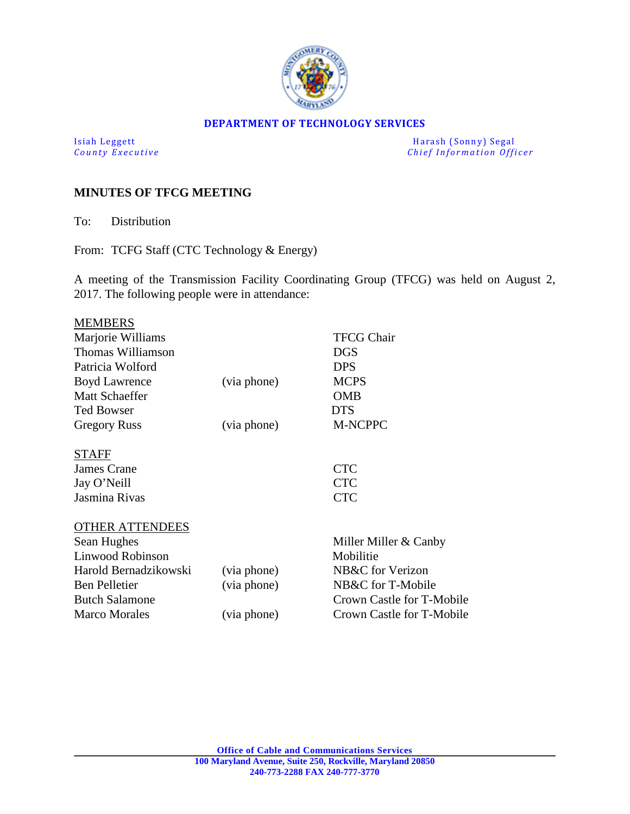

#### **DEPARTMENT OF TECHNOLOGY SERVICES**

Isiah Leggett Harash (Sonny) Segal<br>
County Executive County Executive Chief Information Officers *Chief Information Officer* 

## **MINUTES OF TFCG MEETING**

To: Distribution

From: TCFG Staff (CTC Technology & Energy)

A meeting of the Transmission Facility Coordinating Group (TFCG) was held on August 2, 2017. The following people were in attendance:

| <b>MEMBERS</b>         |             |                           |
|------------------------|-------------|---------------------------|
| Marjorie Williams      |             | <b>TFCG Chair</b>         |
| Thomas Williamson      |             | <b>DGS</b>                |
| Patricia Wolford       |             | <b>DPS</b>                |
| <b>Boyd Lawrence</b>   | (via phone) | <b>MCPS</b>               |
| <b>Matt Schaeffer</b>  |             | <b>OMB</b>                |
| <b>Ted Bowser</b>      |             | <b>DTS</b>                |
| <b>Gregory Russ</b>    | (via phone) | <b>M-NCPPC</b>            |
| <b>STAFF</b>           |             |                           |
| James Crane            |             | <b>CTC</b>                |
| Jay O'Neill            |             | <b>CTC</b>                |
| Jasmina Rivas          |             | <b>CTC</b>                |
| <b>OTHER ATTENDEES</b> |             |                           |
| Sean Hughes            |             | Miller Miller & Canby     |
| Linwood Robinson       |             | Mobilitie                 |
| Harold Bernadzikowski  | (via phone) | NB&C for Verizon          |
| <b>Ben Pelletier</b>   | (via phone) | NB&C for T-Mobile         |
| <b>Butch Salamone</b>  |             | Crown Castle for T-Mobile |
| <b>Marco Morales</b>   | (via phone) | Crown Castle for T-Mobile |
|                        |             |                           |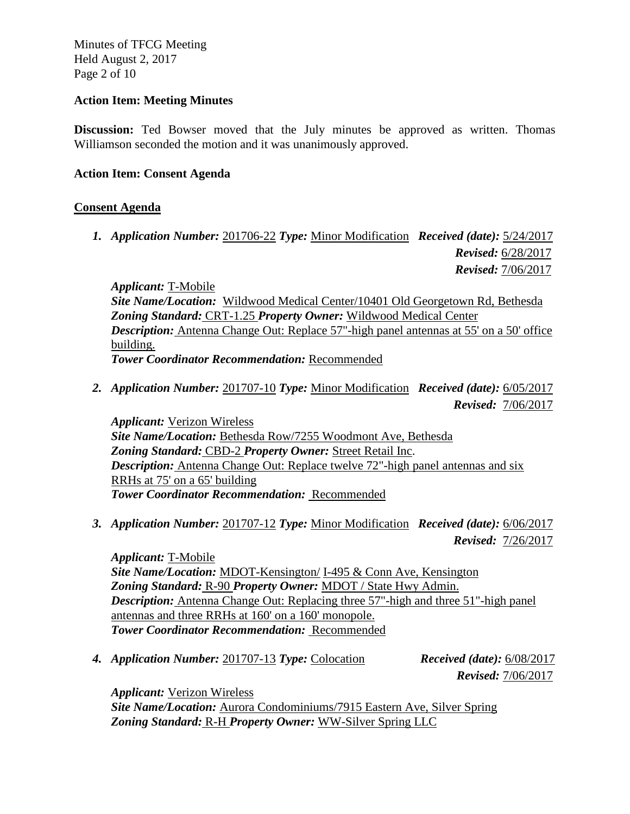Minutes of TFCG Meeting Held August 2, 2017 Page 2 of 10

#### **Action Item: Meeting Minutes**

**Discussion:** Ted Bowser moved that the July minutes be approved as written. Thomas Williamson seconded the motion and it was unanimously approved.

### **Action Item: Consent Agenda**

## **Consent Agenda**

*1. Application Number:* 201706-22 *Type:* Minor Modification *Received (date):* 5/24/2017  *Revised:* 6/28/2017  *Revised:* 7/06/2017

*Applicant:* T-Mobile *Site Name/Location:* Wildwood Medical Center/10401 Old Georgetown Rd, Bethesda *Zoning Standard:* CRT-1.25 *Property Owner:* Wildwood Medical Center *Description:* Antenna Change Out: Replace 57"-high panel antennas at 55' on a 50' office building. *Tower Coordinator Recommendation:* Recommended

*2. Application Number:* 201707-10 *Type:* Minor Modification *Received (date):* 6/05/2017 *Revised:* 7/06/2017

*Applicant:* Verizon Wireless *Site Name/Location:* Bethesda Row/7255 Woodmont Ave, Bethesda *Zoning Standard:* CBD-2 *Property Owner:* Street Retail Inc. *Description:* Antenna Change Out: Replace twelve 72"-high panel antennas and six RRHs at 75' on a 65' building *Tower Coordinator Recommendation:* Recommended

*3. Application Number:* 201707-12 *Type:* Minor Modification *Received (date):* 6/06/2017 *Revised:* 7/26/2017

*Applicant:* T-Mobile *Site Name/Location:* MDOT-Kensington/ I-495 & Conn Ave, Kensington *Zoning Standard:* R-90 *Property Owner:* MDOT / State Hwy Admin. *Description:* Antenna Change Out: Replacing three 57"-high and three 51"-high panel antennas and three RRHs at 160' on a 160' monopole. *Tower Coordinator Recommendation:* Recommended

*4. Application Number:* 201707-13 *Type:* Colocation *Received (date):* 6/08/2017

 *Revised:* 7/06/2017

*Applicant:* Verizon Wireless *Site Name/Location:* Aurora Condominiums/7915 Eastern Ave, Silver Spring *Zoning Standard:* R-H *Property Owner:* WW-Silver Spring LLC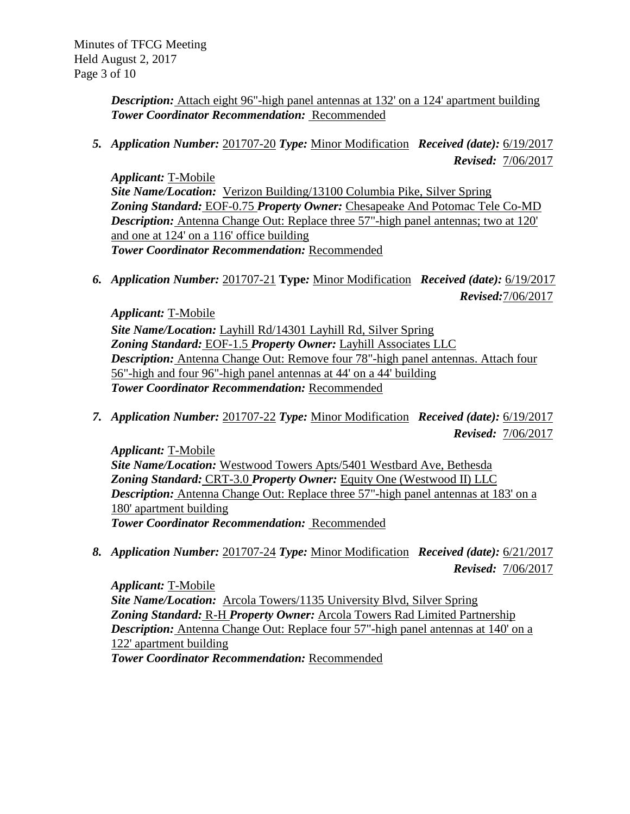*Description:* Attach eight 96"-high panel antennas at 132' on a 124' apartment building *Tower Coordinator Recommendation:* Recommended

*5. Application Number:* 201707-20 *Type:* Minor Modification *Received (date):* 6/19/2017 *Revised:* 7/06/2017

*Applicant:* T-Mobile *Site Name/Location:* Verizon Building/13100 Columbia Pike, Silver Spring Zoning Standard: EOF-0.75 Property Owner: Chesapeake And Potomac Tele Co-MD *Description:* Antenna Change Out: Replace three 57"-high panel antennas; two at 120' and one at 124' on a 116' office building *Tower Coordinator Recommendation:* Recommended

*6. Application Number:* 201707-21 **Type***:* Minor Modification *Received (date):* 6/19/2017  *Revised:*7/06/2017

*Applicant:* T-Mobile *Site Name/Location:* Layhill Rd/14301 Layhill Rd, Silver Spring *Zoning Standard:* EOF-1.5 *Property Owner:* Layhill Associates LLC *Description:* Antenna Change Out: Remove four 78"-high panel antennas. Attach four 56"-high and four 96"-high panel antennas at 44' on a 44' building *Tower Coordinator Recommendation:* Recommended

*7. Application Number:* 201707-22 *Type:* Minor Modification *Received (date):* 6/19/2017 *Revised:* 7/06/2017

*Applicant:* T-Mobile *Site Name/Location:* Westwood Towers Apts/5401 Westbard Ave, Bethesda *Zoning Standard:* CRT-3.0 *Property Owner:* Equity One (Westwood II) LLC *Description:* Antenna Change Out: Replace three 57"-high panel antennas at 183' on a 180' apartment building *Tower Coordinator Recommendation:* Recommended

*8. Application Number:* 201707-24 *Type:* Minor Modification *Received (date):* 6/21/2017 *Revised:* 7/06/2017

*Applicant:* T-Mobile *Site Name/Location:* Arcola Towers/1135 University Blvd, Silver Spring *Zoning Standard:* R-H *Property Owner:* Arcola Towers Rad Limited Partnership *Description:* Antenna Change Out: Replace four 57"-high panel antennas at 140' on a 122' apartment building *Tower Coordinator Recommendation:* Recommended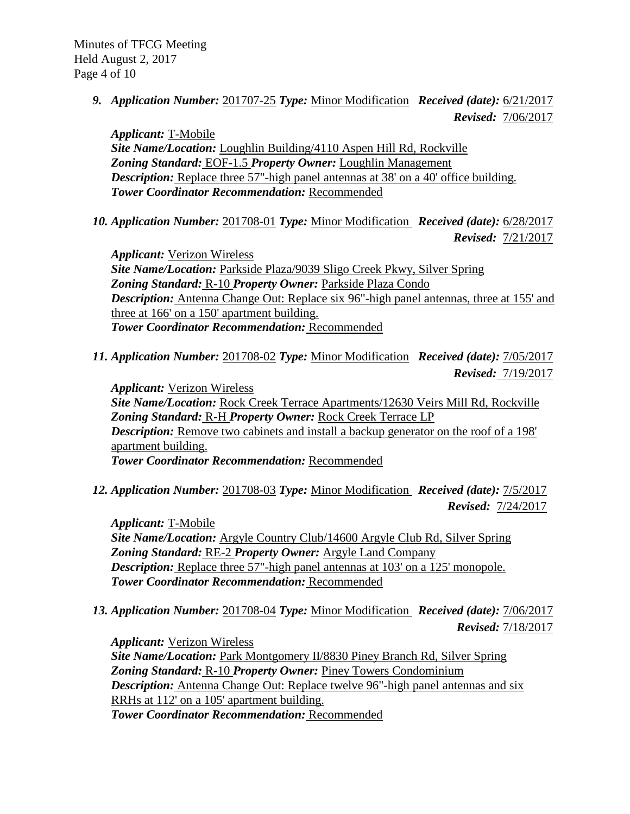*9. Application Number:* 201707-25 *Type:* Minor Modification *Received (date):* 6/21/2017 *Revised:* 7/06/2017

*Applicant:* T-Mobile *Site Name/Location:* Loughlin Building/4110 Aspen Hill Rd, Rockville *Zoning Standard:* EOF-1.5 *Property Owner:* Loughlin Management *Description:* Replace three 57"-high panel antennas at 38' on a 40' office building. *Tower Coordinator Recommendation:* Recommended

*10. Application Number:* 201708-01 *Type:* Minor Modification *Received (date):* 6/28/2017 *Revised:* 7/21/2017

*Applicant:* Verizon Wireless *Site Name/Location:* Parkside Plaza/9039 Sligo Creek Pkwy, Silver Spring *Zoning Standard:* R-10 *Property Owner:* Parkside Plaza Condo *Description:* Antenna Change Out: Replace six 96"-high panel antennas, three at 155' and three at 166' on a 150' apartment building. *Tower Coordinator Recommendation:* Recommended

*11. Application Number:* 201708-02 *Type:* Minor Modification *Received (date):* 7/05/2017  *Revised:* 7/19/2017

*Applicant:* Verizon Wireless *Site Name/Location:* Rock Creek Terrace Apartments/12630 Veirs Mill Rd, Rockville *Zoning Standard:* R-H *Property Owner:* Rock Creek Terrace LP *Description:* Remove two cabinets and install a backup generator on the roof of a 198' apartment building. *Tower Coordinator Recommendation:* Recommended

*12. Application Number:* 201708-03 *Type:* Minor Modification *Received (date):* 7/5/2017 *Revised:* 7/24/2017

*Applicant:* T-Mobile *Site Name/Location:* Argyle Country Club/14600 Argyle Club Rd, Silver Spring *Zoning Standard:* RE-2 *Property Owner:* Argyle Land Company *Description:* Replace three 57"-high panel antennas at 103' on a 125' monopole. *Tower Coordinator Recommendation:* Recommended

*13. Application Number:* 201708-04 *Type:* Minor Modification *Received (date):* 7/06/2017  *Revised:* 7/18/2017

*Applicant:* Verizon Wireless *Site Name/Location:* Park Montgomery II/8830 Piney Branch Rd, Silver Spring *Zoning Standard:* R-10 *Property Owner:* Piney Towers Condominium *Description:* Antenna Change Out: Replace twelve 96"-high panel antennas and six RRHs at 112' on a 105' apartment building. *Tower Coordinator Recommendation:* Recommended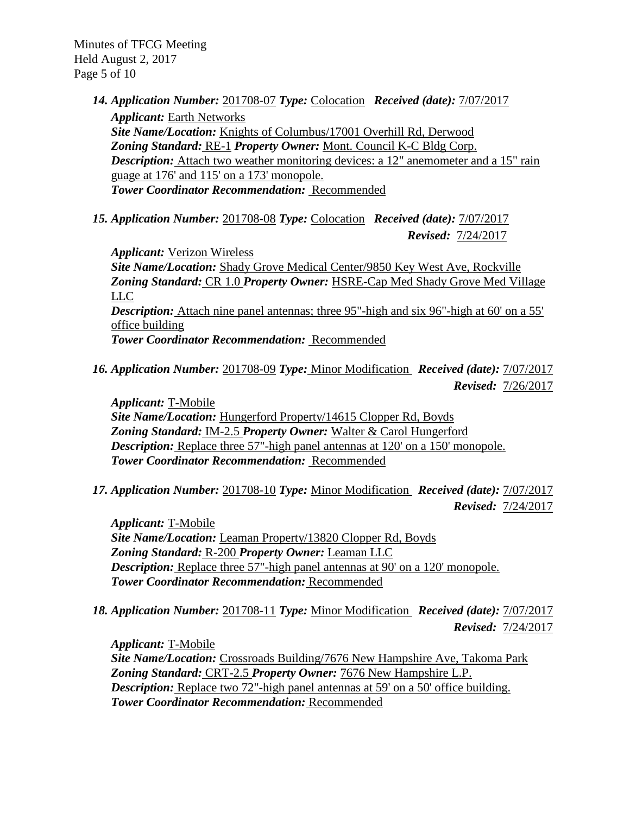Minutes of TFCG Meeting Held August 2, 2017 Page 5 of 10

*14. Application Number:* 201708-07 *Type:* Colocation *Received (date):* 7/07/2017

*Applicant:* Earth Networks *Site Name/Location:* Knights of Columbus/17001 Overhill Rd, Derwood *Zoning Standard:* RE-1 *Property Owner:* Mont. Council K-C Bldg Corp. *Description:* Attach two weather monitoring devices: a 12" anemometer and a 15" rain guage at 176' and 115' on a 173' monopole. *Tower Coordinator Recommendation:* Recommended

*15. Application Number:* 201708-08 *Type:* Colocation *Received (date):* 7/07/2017 *Revised:* 7/24/2017

*Applicant:* Verizon Wireless *Site Name/Location:* Shady Grove Medical Center/9850 Key West Ave, Rockville *Zoning Standard:* CR 1.0 *Property Owner:* HSRE-Cap Med Shady Grove Med Village LLC *Description:* Attach nine panel antennas; three 95"-high and six 96"-high at 60' on a 55' office building *Tower Coordinator Recommendation:* Recommended

*16. Application Number:* 201708-09 *Type:* Minor Modification *Received (date):* 7/07/2017  *Revised:* 7/26/2017

*Applicant:* T-Mobile *Site Name/Location:* Hungerford Property/14615 Clopper Rd, Boyds *Zoning Standard:* IM-2.5 *Property Owner:* Walter & Carol Hungerford *Description:* Replace three 57"-high panel antennas at 120' on a 150' monopole. *Tower Coordinator Recommendation:* Recommended

*17. Application Number:* 201708-10 *Type:* Minor Modification *Received (date):* 7/07/2017 *Revised:* 7/24/2017

*Applicant:* T-Mobile *Site Name/Location:* Leaman Property/13820 Clopper Rd, Boyds *Zoning Standard:* R-200 *Property Owner:* Leaman LLC *Description:* Replace three 57"-high panel antennas at 90' on a 120' monopole. *Tower Coordinator Recommendation:* Recommended

*18. Application Number:* 201708-11 *Type:* Minor Modification *Received (date):* 7/07/2017 *Revised:* 7/24/2017

*Applicant:* T-Mobile *Site Name/Location:* Crossroads Building/7676 New Hampshire Ave, Takoma Park *Zoning Standard:* CRT-2.5 *Property Owner:* 7676 New Hampshire L.P. *Description:* Replace two 72"-high panel antennas at 59' on a 50' office building. *Tower Coordinator Recommendation:* Recommended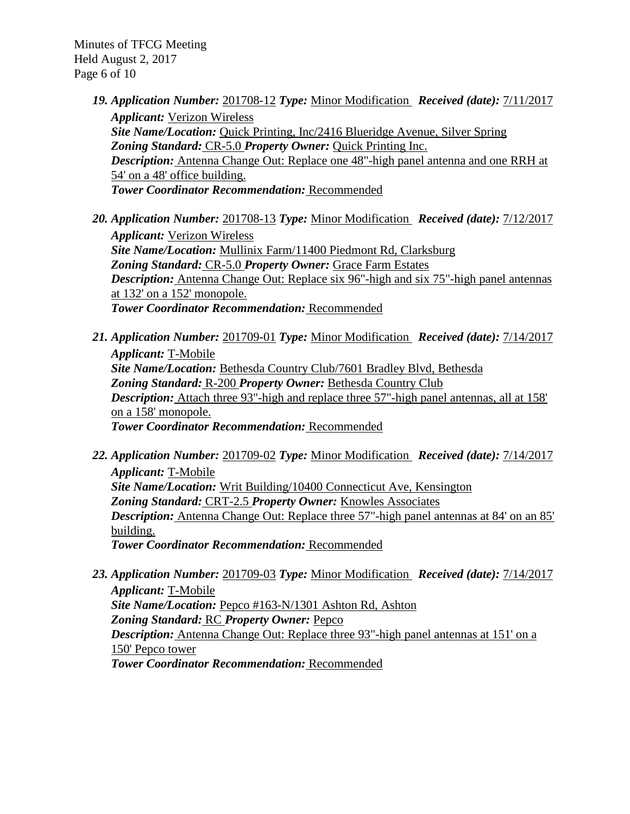Minutes of TFCG Meeting Held August 2, 2017 Page 6 of 10

- *19. Application Number:* 201708-12 *Type:* Minor Modification *Received (date):* 7/11/2017 *Applicant:* Verizon Wireless *Site Name/Location:* Quick Printing, Inc/2416 Blueridge Avenue, Silver Spring *Zoning Standard:* CR-5.0 *Property Owner:* Quick Printing Inc. *Description:* Antenna Change Out: Replace one 48"-high panel antenna and one RRH at 54' on a 48' office building. *Tower Coordinator Recommendation:* Recommended
- *20. Application Number:* 201708-13 *Type:* Minor Modification *Received (date):* 7/12/2017 *Applicant:* Verizon Wireless *Site Name/Location:* Mullinix Farm/11400 Piedmont Rd, Clarksburg *Zoning Standard:* CR-5.0 *Property Owner:* Grace Farm Estates *Description:* Antenna Change Out: Replace six 96"-high and six 75"-high panel antennas at 132' on a 152' monopole. *Tower Coordinator Recommendation:* Recommended
- *21. Application Number:* 201709-01 *Type:* Minor Modification *Received (date):* 7/14/2017 *Applicant:* T-Mobile *Site Name/Location:* Bethesda Country Club/7601 Bradley Blvd, Bethesda *Zoning Standard:* R-200 *Property Owner:* Bethesda Country Club *Description:* Attach three 93"-high and replace three 57"-high panel antennas, all at 158' on a 158' monopole. *Tower Coordinator Recommendation:* Recommended
- *22. Application Number:* 201709-02 *Type:* Minor Modification *Received (date):* 7/14/2017 *Applicant:* T-Mobile *Site Name/Location:* Writ Building/10400 Connecticut Ave, Kensington *Zoning Standard:* CRT-2.5 *Property Owner:* Knowles Associates *Description:* Antenna Change Out: Replace three 57"-high panel antennas at 84' on an 85' building. *Tower Coordinator Recommendation:* Recommended
- *23. Application Number:* 201709-03 *Type:* Minor Modification *Received (date):* 7/14/2017 *Applicant:* T-Mobile *Site Name/Location:* Pepco #163-N/1301 Ashton Rd, Ashton *Zoning Standard:* RC *Property Owner:* Pepco *Description:* Antenna Change Out: Replace three 93"-high panel antennas at 151' on a 150' Pepco tower

*Tower Coordinator Recommendation:* Recommended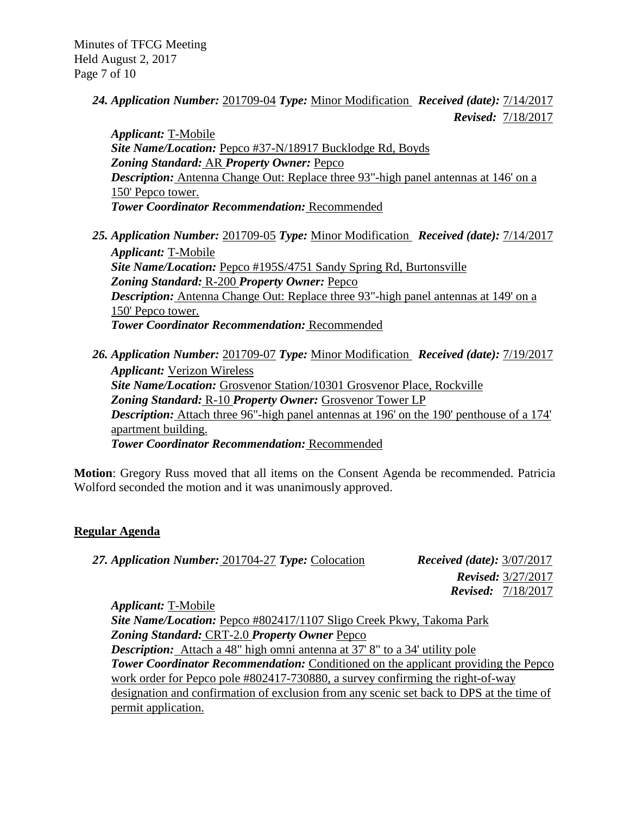Minutes of TFCG Meeting Held August 2, 2017 Page 7 of 10

> *24. Application Number:* 201709-04 *Type:* Minor Modification *Received (date):* 7/14/2017 *Revised:* 7/18/2017

*Applicant:* T-Mobile *Site Name/Location:* Pepco #37-N/18917 Bucklodge Rd, Boyds *Zoning Standard:* AR *Property Owner:* Pepco *Description:* Antenna Change Out: Replace three 93"-high panel antennas at 146' on a 150' Pepco tower. *Tower Coordinator Recommendation:* Recommended

- *25. Application Number:* 201709-05 *Type:* Minor Modification *Received (date):* 7/14/2017 *Applicant:* T-Mobile *Site Name/Location:* Pepco #195S/4751 Sandy Spring Rd, Burtonsville *Zoning Standard:* R-200 *Property Owner:* Pepco *Description:* Antenna Change Out: Replace three 93"-high panel antennas at 149' on a 150' Pepco tower. *Tower Coordinator Recommendation:* Recommended
- *26. Application Number:* 201709-07 *Type:* Minor Modification *Received (date):* 7/19/2017 *Applicant:* Verizon Wireless *Site Name/Location:* Grosvenor Station/10301 Grosvenor Place, Rockville *Zoning Standard:* R-10 *Property Owner:* Grosvenor Tower LP *Description:* Attach three 96"-high panel antennas at 196' on the 190' penthouse of a 174' apartment building. *Tower Coordinator Recommendation:* Recommended

**Motion**: Gregory Russ moved that all items on the Consent Agenda be recommended. Patricia Wolford seconded the motion and it was unanimously approved.

# **Regular Agenda**

| 27. Application Number: 201704-27 Type: Colocation                                                                                                                                                                                                                                                                                                                                            | <i>Received (date):</i> $3/07/2017$ |
|-----------------------------------------------------------------------------------------------------------------------------------------------------------------------------------------------------------------------------------------------------------------------------------------------------------------------------------------------------------------------------------------------|-------------------------------------|
|                                                                                                                                                                                                                                                                                                                                                                                               | <b>Revised:</b> 3/27/2017           |
|                                                                                                                                                                                                                                                                                                                                                                                               | <b>Revised:</b> 7/18/2017           |
| <i>Applicant:</i> T-Mobile                                                                                                                                                                                                                                                                                                                                                                    |                                     |
| Site Name/Location: Pepco #802417/1107 Sligo Creek Pkwy, Takoma Park                                                                                                                                                                                                                                                                                                                          |                                     |
| Zoning Standard: CRT-2.0 Property Owner Pepco                                                                                                                                                                                                                                                                                                                                                 |                                     |
| $\bullet$ . $\bullet$ . $\bullet$ . $\bullet$ . $\bullet$ . $\bullet$ . $\bullet$ . $\bullet$ . $\bullet$ . $\bullet$ . $\bullet$ . $\bullet$ . $\bullet$ . $\bullet$ . $\bullet$ . $\bullet$ . $\bullet$ . $\bullet$ . $\bullet$ . $\bullet$ . $\bullet$ . $\bullet$ . $\bullet$ . $\bullet$ . $\bullet$ . $\bullet$ . $\bullet$ . $\bullet$ . $\bullet$ . $\bullet$ . $\bullet$ . $\bullet$ |                                     |

*Description:* Attach a 48" high omni antenna at 37' 8" to a 34' utility pole **Tower Coordinator Recommendation:** Conditioned on the applicant providing the Pepco work order for Pepco pole #802417-730880, a survey confirming the right-of-way designation and confirmation of exclusion from any scenic set back to DPS at the time of permit application.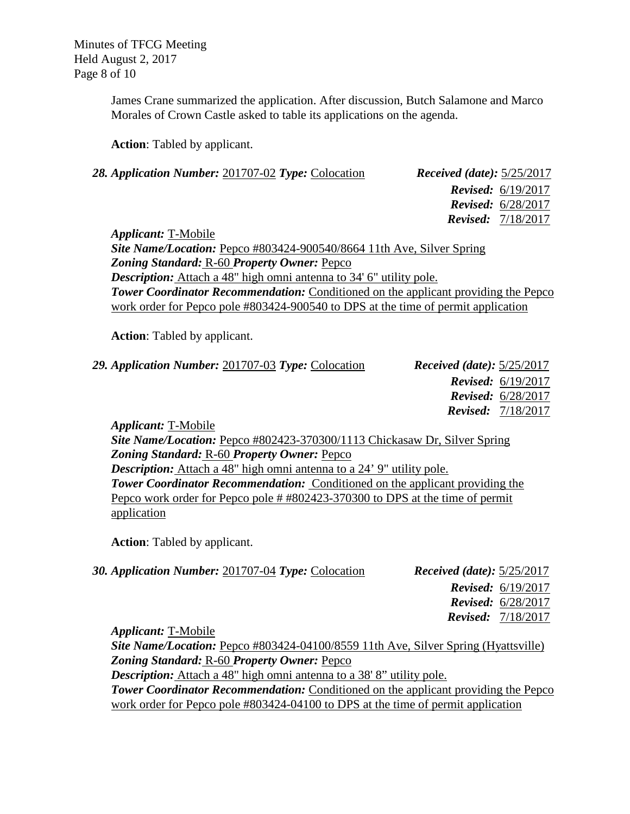Minutes of TFCG Meeting Held August 2, 2017 Page 8 of 10

> James Crane summarized the application. After discussion, Butch Salamone and Marco Morales of Crown Castle asked to table its applications on the agenda.

**Action**: Tabled by applicant.

| 28. Application Number: 201707-02 Type: Colocation | <i>Received (date):</i> $5/25/2017$ |
|----------------------------------------------------|-------------------------------------|
|                                                    | <b>Revised:</b> $6/19/2017$         |
|                                                    | <b>Revised:</b> $6/28/2017$         |
|                                                    | <b>Revised:</b> $7/18/2017$         |
| <i>Applicant:</i> T-Mobile                         |                                     |

*Site Name/Location:* Pepco #803424-900540/8664 11th Ave, Silver Spring *Zoning Standard:* R-60 *Property Owner:* Pepco *Description:* Attach a 48" high omni antenna to 34' 6" utility pole. **Tower Coordinator Recommendation:** Conditioned on the applicant providing the Pepco work order for Pepco pole #803424-900540 to DPS at the time of permit application

**Action**: Tabled by applicant.

| 29. Application Number: 201707-03 Type: Colocation | <i>Received (date):</i> $5/25/2017$ |
|----------------------------------------------------|-------------------------------------|
|                                                    | <b>Revised:</b> $6/19/2017$         |
|                                                    | <b>Revised:</b> $6/28/2017$         |
|                                                    | <b>Revised:</b> 7/18/2017           |
|                                                    |                                     |

*Applicant:* T-Mobile *Site Name/Location:* Pepco #802423-370300/1113 Chickasaw Dr, Silver Spring *Zoning Standard:* R-60 *Property Owner:* Pepco *Description:* Attach a 48" high omni antenna to a 24' 9" utility pole. **Tower Coordinator Recommendation:** Conditioned on the applicant providing the Pepco work order for Pepco pole # #802423-370300 to DPS at the time of permit application

**Action**: Tabled by applicant.

| 30. Application Number: 201707-04 Type: Colocation | <i>Received (date):</i> $5/25/2017$ |
|----------------------------------------------------|-------------------------------------|
|                                                    | <b>Revised:</b> $6/19/2017$         |
|                                                    | <b>Revised:</b> $6/28/2017$         |
|                                                    | <b>Revised:</b> $7/18/2017$         |

*Applicant:* T-Mobile *Site Name/Location:* Pepco #803424-04100/8559 11th Ave, Silver Spring (Hyattsville) *Zoning Standard:* R-60 *Property Owner:* Pepco *Description:* Attach a 48" high omni antenna to a 38' 8" utility pole. **Tower Coordinator Recommendation:** Conditioned on the applicant providing the Pepco work order for Pepco pole #803424-04100 to DPS at the time of permit application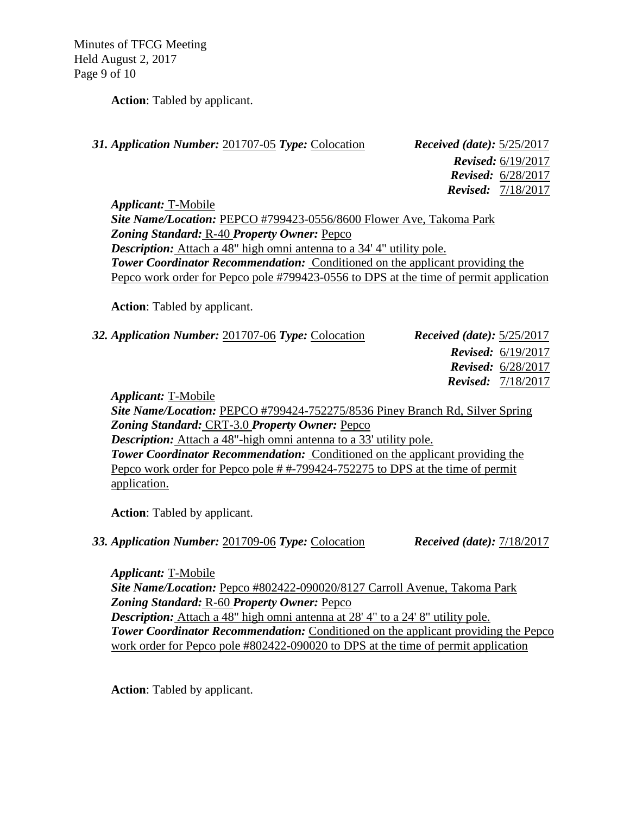Minutes of TFCG Meeting Held August 2, 2017 Page 9 of 10

**Action**: Tabled by applicant.

| <i>Received (date):</i> $5/25/2017$ |                             |
|-------------------------------------|-----------------------------|
|                                     | <b>Revised:</b> 6/19/2017   |
|                                     | <b>Revised:</b> $6/28/2017$ |
|                                     | <b>Revised:</b> $7/18/2017$ |
|                                     |                             |

*Applicant:* T-Mobile *Site Name/Location:* PEPCO #799423-0556/8600 Flower Ave, Takoma Park *Zoning Standard:* R-40 *Property Owner:* Pepco *Description:* Attach a 48" high omni antenna to a 34' 4" utility pole. **Tower Coordinator Recommendation:** Conditioned on the applicant providing the Pepco work order for Pepco pole #799423-0556 to DPS at the time of permit application

**Action**: Tabled by applicant.

*32. Application Number:* 201707-06 *Type:* Colocation *Received (date):* 5/25/2017

**31. Application Number: 201707-05** *Type:* **Colocation** 

 *Revised:* 6/19/2017  *Revised:* 6/28/2017  *Revised:* 7/18/2017

*Applicant:* T-Mobile

*Site Name/Location:* PEPCO #799424-752275/8536 Piney Branch Rd, Silver Spring *Zoning Standard:* CRT-3.0 *Property Owner:* Pepco *Description:* Attach a 48"-high omni antenna to a 33' utility pole. **Tower Coordinator Recommendation:** Conditioned on the applicant providing the Pepco work order for Pepco pole # #-799424-752275 to DPS at the time of permit application.

**Action**: Tabled by applicant.

#### *33. Application Number:* 201709-06 *Type:* Colocation *Received (date):* 7/18/2017

*Applicant:* T-Mobile *Site Name/Location:* Pepco #802422-090020/8127 Carroll Avenue, Takoma Park *Zoning Standard:* R-60 *Property Owner:* Pepco *Description:* Attach a 48" high omni antenna at 28' 4" to a 24' 8" utility pole. *Tower Coordinator Recommendation:* Conditioned on the applicant providing the Pepco work order for Pepco pole #802422-090020 to DPS at the time of permit application

**Action**: Tabled by applicant.